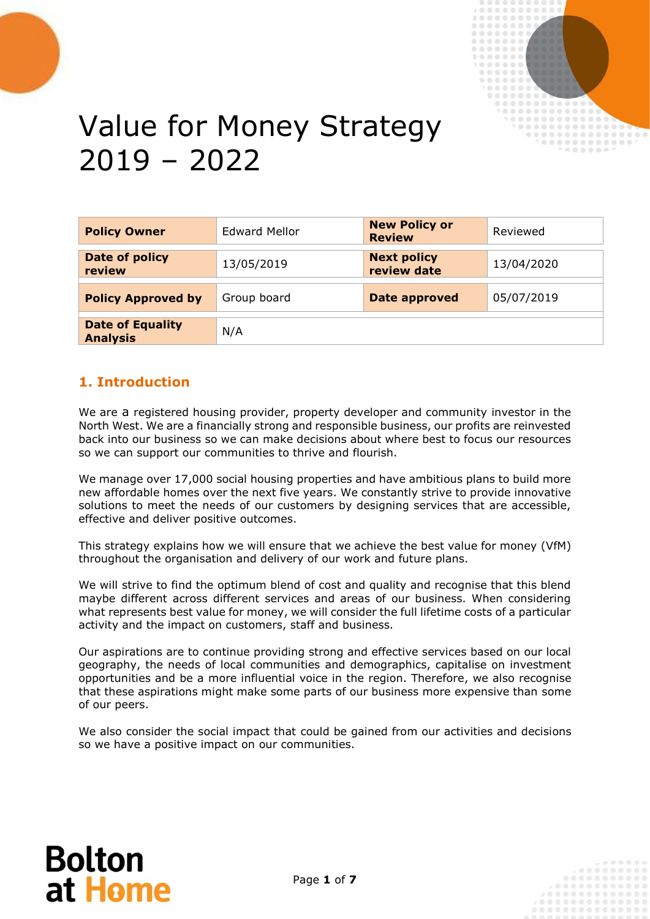

# Value for Money Strategy 2019 – 2022

| <b>Policy Owner</b>                        | <b>Edward Mellor</b> | <b>New Policy or</b><br><b>Review</b> | Reviewed   |
|--------------------------------------------|----------------------|---------------------------------------|------------|
| Date of policy<br>review                   | 13/05/2019           | <b>Next policy</b><br>review date     | 13/04/2020 |
| <b>Policy Approved by</b>                  | Group board          | <b>Date approved</b>                  | 05/07/2019 |
| <b>Date of Equality</b><br><b>Analysis</b> | N/A                  |                                       |            |

## **1. Introduction**

We are a registered housing provider, property developer and community investor in the North West. We are a financially strong and responsible business, our profits are reinvested back into our business so we can make decisions about where best to focus our resources so we can support our communities to thrive and flourish.

We manage over 17,000 social housing properties and have ambitious plans to build more new affordable homes over the next five years. We constantly strive to provide innovative solutions to meet the needs of our customers by designing services that are accessible, effective and deliver positive outcomes.

This strategy explains how we will ensure that we achieve the best value for money (VfM) throughout the organisation and delivery of our work and future plans.

We will strive to find the optimum blend of cost and quality and recognise that this blend maybe different across different services and areas of our business. When considering what represents best value for money, we will consider the full lifetime costs of a particular activity and the impact on customers, staff and business.

Our aspirations are to continue providing strong and effective services based on our local geography, the needs of local communities and demographics, capitalise on investment opportunities and be a more influential voice in the region. Therefore, we also recognise that these aspirations might make some parts of our business more expensive than some of our peers.

We also consider the social impact that could be gained from our activities and decisions so we have a positive impact on our communities.

## **Bolton** at Home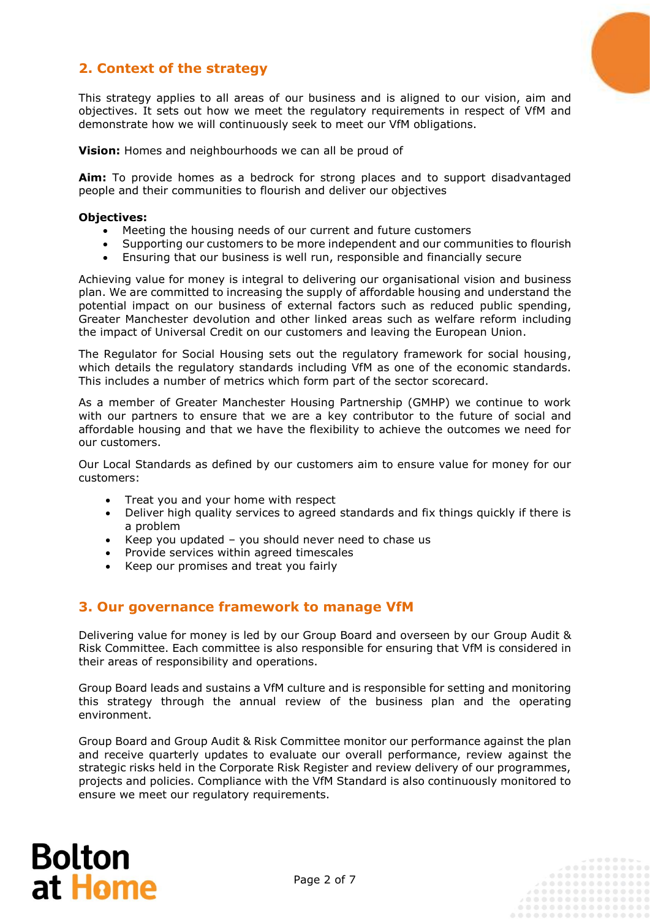## **2. Context of the strategy**

This strategy applies to all areas of our business and is aligned to our vision, aim and objectives. It sets out how we meet the regulatory requirements in respect of VfM and demonstrate how we will continuously seek to meet our VfM obligations.

**Vision:** Homes and neighbourhoods we can all be proud of

**Aim:** To provide homes as a bedrock for strong places and to support disadvantaged people and their communities to flourish and deliver our objectives

#### **Objectives:**

- Meeting the housing needs of our current and future customers
- Supporting our customers to be more independent and our communities to flourish
- Ensuring that our business is well run, responsible and financially secure

Achieving value for money is integral to delivering our organisational vision and business plan. We are committed to increasing the supply of affordable housing and understand the potential impact on our business of external factors such as reduced public spending, Greater Manchester devolution and other linked areas such as welfare reform including the impact of Universal Credit on our customers and leaving the European Union.

The Regulator for Social Housing sets out the regulatory framework for social housing, which details the regulatory standards including VfM as one of the economic standards. This includes a number of metrics which form part of the sector scorecard.

As a member of Greater Manchester Housing Partnership (GMHP) we continue to work with our partners to ensure that we are a key contributor to the future of social and affordable housing and that we have the flexibility to achieve the outcomes we need for our customers.

Our Local Standards as defined by our customers aim to ensure value for money for our customers:

- Treat you and your home with respect
- Deliver high quality services to agreed standards and fix things quickly if there is a problem
- Keep you updated you should never need to chase us
- Provide services within agreed timescales
- Keep our promises and treat you fairly

## **3. Our governance framework to manage VfM**

Delivering value for money is led by our Group Board and overseen by our Group Audit & Risk Committee. Each committee is also responsible for ensuring that VfM is considered in their areas of responsibility and operations.

Group Board leads and sustains a VfM culture and is responsible for setting and monitoring this strategy through the annual review of the business plan and the operating environment.

Group Board and Group Audit & Risk Committee monitor our performance against the plan and receive quarterly updates to evaluate our overall performance, review against the strategic risks held in the Corporate Risk Register and review delivery of our programmes, projects and policies. Compliance with the VfM Standard is also continuously monitored to ensure we meet our regulatory requirements.

# **Bolton** at Home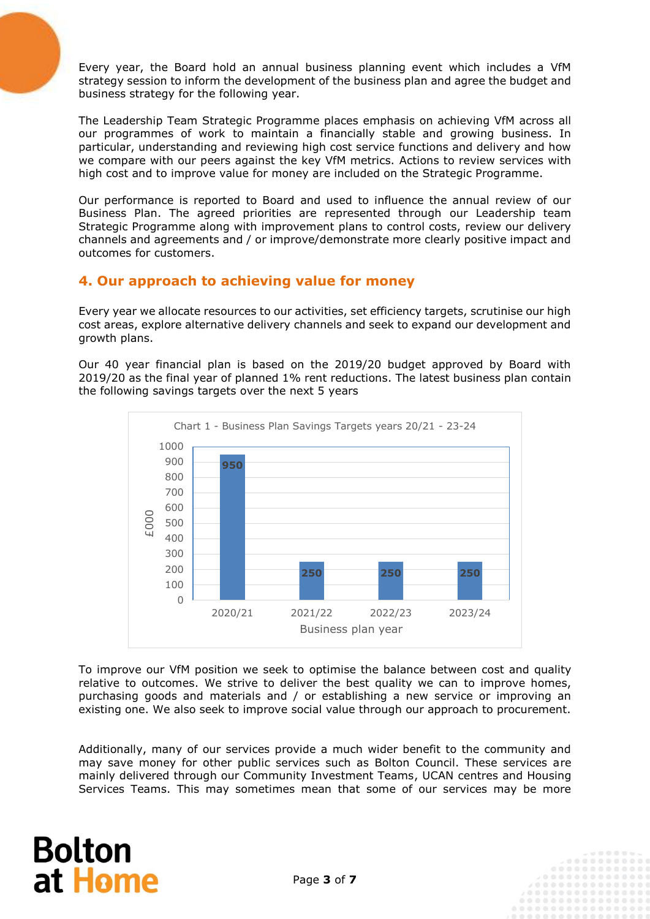Every year, the Board hold an annual business planning event which includes a VfM strategy session to inform the development of the business plan and agree the budget and business strategy for the following year.

The Leadership Team Strategic Programme places emphasis on achieving VfM across all our programmes of work to maintain a financially stable and growing business. In particular, understanding and reviewing high cost service functions and delivery and how we compare with our peers against the key VfM metrics. Actions to review services with high cost and to improve value for money are included on the Strategic Programme.

Our performance is reported to Board and used to influence the annual review of our Business Plan. The agreed priorities are represented through our Leadership team Strategic Programme along with improvement plans to control costs, review our delivery channels and agreements and / or improve/demonstrate more clearly positive impact and outcomes for customers.

## **4. Our approach to achieving value for money**

Every year we allocate resources to our activities, set efficiency targets, scrutinise our high cost areas, explore alternative delivery channels and seek to expand our development and growth plans.

Our 40 year financial plan is based on the 2019/20 budget approved by Board with 2019/20 as the final year of planned 1% rent reductions. The latest business plan contain the following savings targets over the next 5 years



To improve our VfM position we seek to optimise the balance between cost and quality relative to outcomes. We strive to deliver the best quality we can to improve homes, purchasing goods and materials and / or establishing a new service or improving an existing one. We also seek to improve social value through our approach to procurement.

Additionally, many of our services provide a much wider benefit to the community and may save money for other public services such as Bolton Council. These services are mainly delivered through our Community Investment Teams, UCAN centres and Housing Services Teams. This may sometimes mean that some of our services may be more

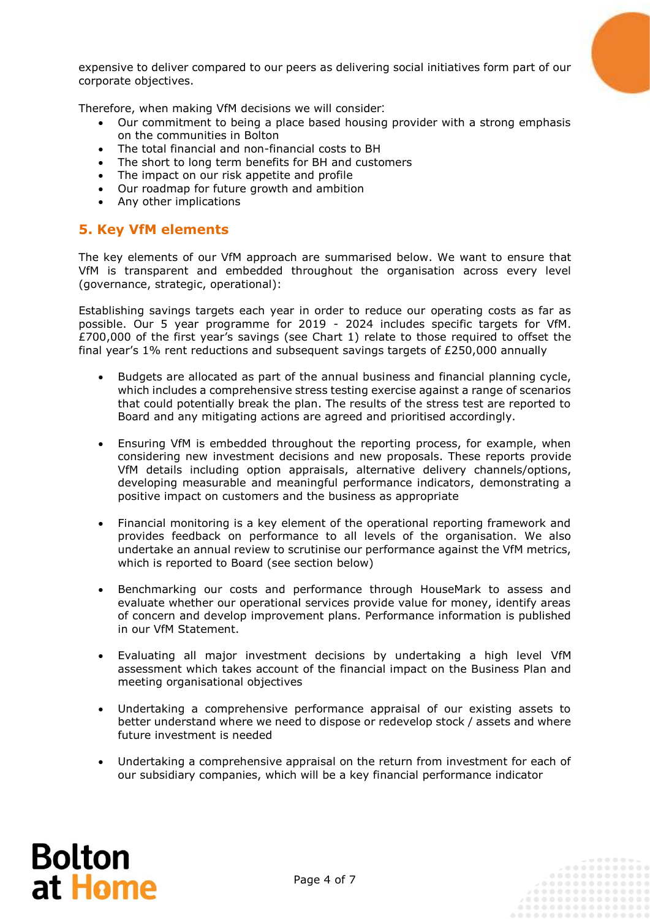expensive to deliver compared to our peers as delivering social initiatives form part of our corporate objectives.

Therefore, when making VfM decisions we will consider:

- Our commitment to being a place based housing provider with a strong emphasis on the communities in Bolton
- The total financial and non-financial costs to BH
- The short to long term benefits for BH and customers
- The impact on our risk appetite and profile
- Our roadmap for future growth and ambition
- Any other implications

## **5. Key VfM elements**

The key elements of our VfM approach are summarised below. We want to ensure that VfM is transparent and embedded throughout the organisation across every level (governance, strategic, operational):

Establishing savings targets each year in order to reduce our operating costs as far as possible. Our 5 year programme for 2019 - 2024 includes specific targets for VfM. £700,000 of the first year's savings (see Chart 1) relate to those required to offset the final year's 1% rent reductions and subsequent savings targets of £250,000 annually

- Budgets are allocated as part of the annual business and financial planning cycle, which includes a comprehensive stress testing exercise against a range of scenarios that could potentially break the plan. The results of the stress test are reported to Board and any mitigating actions are agreed and prioritised accordingly.
- Ensuring VfM is embedded throughout the reporting process, for example, when considering new investment decisions and new proposals. These reports provide VfM details including option appraisals, alternative delivery channels/options, developing measurable and meaningful performance indicators, demonstrating a positive impact on customers and the business as appropriate
- Financial monitoring is a key element of the operational reporting framework and provides feedback on performance to all levels of the organisation. We also undertake an annual review to scrutinise our performance against the VfM metrics, which is reported to Board (see section below)
- Benchmarking our costs and performance through HouseMark to assess and evaluate whether our operational services provide value for money, identify areas of concern and develop improvement plans. Performance information is published in our VfM Statement.
- Evaluating all major investment decisions by undertaking a high level VfM assessment which takes account of the financial impact on the Business Plan and meeting organisational objectives
- Undertaking a comprehensive performance appraisal of our existing assets to better understand where we need to dispose or redevelop stock / assets and where future investment is needed
- Undertaking a comprehensive appraisal on the return from investment for each of our subsidiary companies, which will be a key financial performance indicator

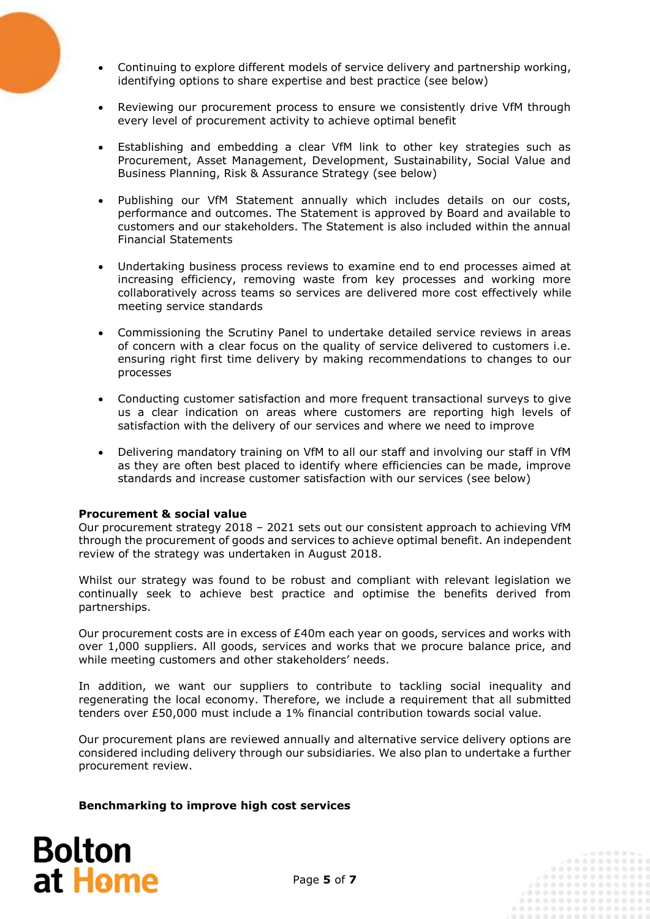- Continuing to explore different models of service delivery and partnership working, identifying options to share expertise and best practice (see below)
- Reviewing our procurement process to ensure we consistently drive VfM through every level of procurement activity to achieve optimal benefit
- Establishing and embedding a clear VfM link to other key strategies such as Procurement, Asset Management, Development, Sustainability, Social Value and Business Planning, Risk & Assurance Strategy (see below)
- Publishing our VfM Statement annually which includes details on our costs, performance and outcomes. The Statement is approved by Board and available to customers and our stakeholders. The Statement is also included within the annual Financial Statements
- Undertaking business process reviews to examine end to end processes aimed at increasing efficiency, removing waste from key processes and working more collaboratively across teams so services are delivered more cost effectively while meeting service standards
- Commissioning the Scrutiny Panel to undertake detailed service reviews in areas of concern with a clear focus on the quality of service delivered to customers i.e. ensuring right first time delivery by making recommendations to changes to our processes
- Conducting customer satisfaction and more frequent transactional surveys to give us a clear indication on areas where customers are reporting high levels of satisfaction with the delivery of our services and where we need to improve
- Delivering mandatory training on VfM to all our staff and involving our staff in VfM as they are often best placed to identify where efficiencies can be made, improve standards and increase customer satisfaction with our services (see below)

### **Procurement & social value**

Our procurement strategy 2018 – 2021 sets out our consistent approach to achieving VfM through the procurement of goods and services to achieve optimal benefit. An independent review of the strategy was undertaken in August 2018.

Whilst our strategy was found to be robust and compliant with relevant legislation we continually seek to achieve best practice and optimise the benefits derived from partnerships.

Our procurement costs are in excess of  $E40m$  each year on goods, services and works with over 1,000 suppliers. All goods, services and works that we procure balance price, and while meeting customers and other stakeholders' needs.

In addition, we want our suppliers to contribute to tackling social inequality and regenerating the local economy. Therefore, we include a requirement that all submitted tenders over £50,000 must include a 1% financial contribution towards social value.

Our procurement plans are reviewed annually and alternative service delivery options are considered including delivery through our subsidiaries. We also plan to undertake a further procurement review.

### **Benchmarking to improve high cost services**

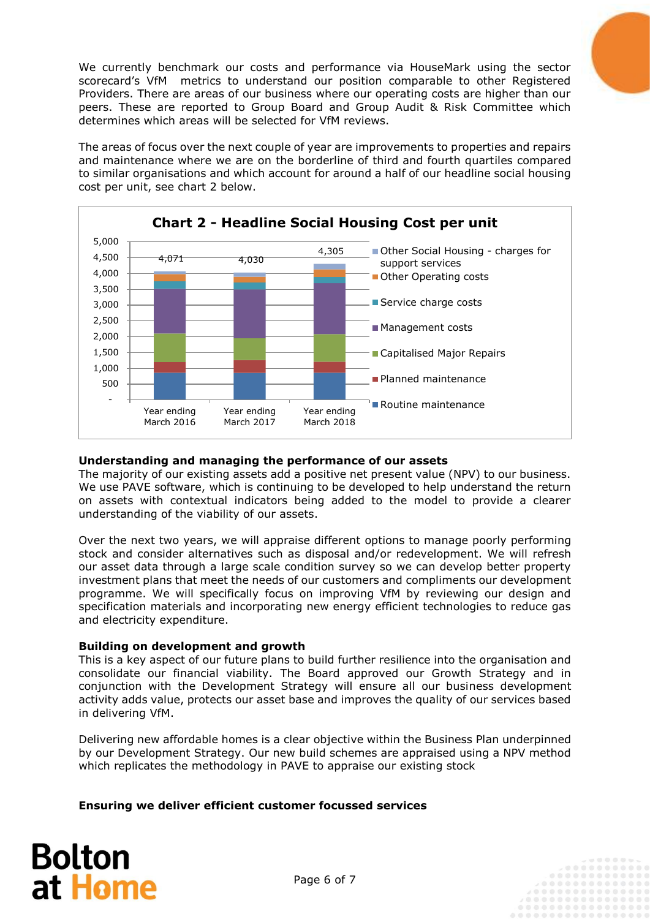We currently benchmark our costs and performance via HouseMark using the sector scorecard's VfM metrics to understand our position comparable to other Registered Providers. There are areas of our business where our operating costs are higher than our peers. These are reported to Group Board and Group Audit & Risk Committee which determines which areas will be selected for VfM reviews.

The areas of focus over the next couple of year are improvements to properties and repairs and maintenance where we are on the borderline of third and fourth quartiles compared to similar organisations and which account for around a half of our headline social housing cost per unit, see chart 2 below.



## **Understanding and managing the performance of our assets**

The majority of our existing assets add a positive net present value (NPV) to our business. We use PAVE software, which is continuing to be developed to help understand the return on assets with contextual indicators being added to the model to provide a clearer understanding of the viability of our assets.

Over the next two years, we will appraise different options to manage poorly performing stock and consider alternatives such as disposal and/or redevelopment. We will refresh our asset data through a large scale condition survey so we can develop better property investment plans that meet the needs of our customers and compliments our development programme. We will specifically focus on improving VfM by reviewing our design and specification materials and incorporating new energy efficient technologies to reduce gas and electricity expenditure.

### **Building on development and growth**

This is a key aspect of our future plans to build further resilience into the organisation and consolidate our financial viability. The Board approved our Growth Strategy and in conjunction with the Development Strategy will ensure all our business development activity adds value, protects our asset base and improves the quality of our services based in delivering VfM.

Delivering new affordable homes is a clear objective within the Business Plan underpinned by our Development Strategy. Our new build schemes are appraised using a NPV method which replicates the methodology in PAVE to appraise our existing stock

**Ensuring we deliver efficient customer focussed services**